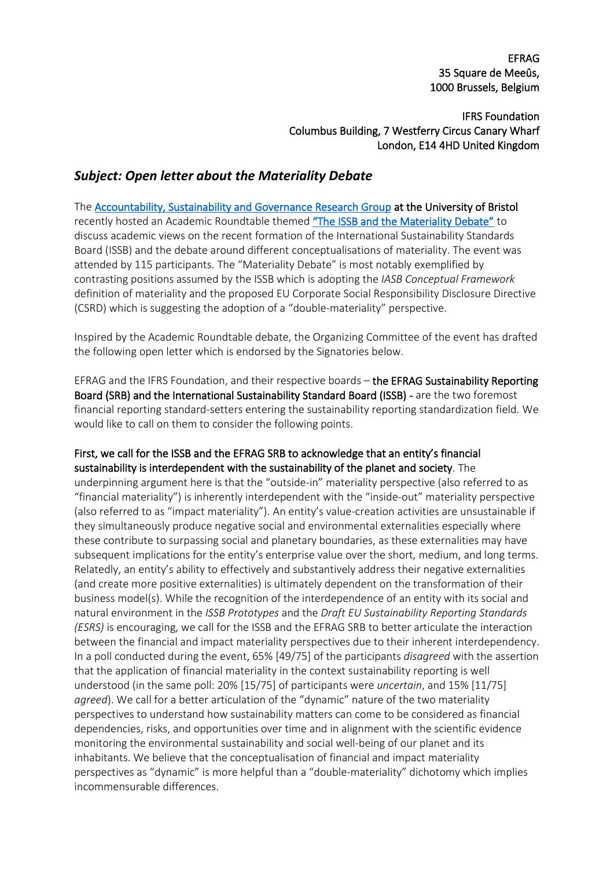EFRAG 35 Square de Meeûs, 1000 Brussels, Belgium

IFRS Foundation Columbus Building, 7 Westferry Circus Canary Wharf London, E14 4HD United Kingdom

## *Subject: Open letter about the Materiality Debate*

The [Accountability, Sustainability and Governance Research Group](https://www.bristol.ac.uk/accounting-finance/research/groups/accountability/) at the University of Bristol recently hosted an Academic Roundtable themed ["The ISSB and the Materiality Debate"](https://www.bristol.ac.uk/accounting-finance/seminars-and-events/workshops/2022/asg-roundtable/) to discuss academic views on the recent formation of the International Sustainability Standards Board (ISSB) and the debate around different conceptualisations of materiality. The event was attended by 115 participants. The "Materiality Debate" is most notably exemplified by contrasting positions assumed by the ISSB which is adopting the *IASB Conceptual Framework* definition of materiality and the proposed EU Corporate Social Responsibility Disclosure Directive (CSRD) which is suggesting the adoption of a "double-materiality" perspective.

Inspired by the Academic Roundtable debate, the Organizing Committee of the event has drafted the following open letter which is endorsed by the Signatories below.

EFRAG and the IFRS Foundation, and their respective boards – the EFRAG Sustainability Reporting Board (SRB) and the International Sustainability Standard Board (ISSB) - are the two foremost financial reporting standard-setters entering the sustainability reporting standardization field. We would like to call on them to consider the following points.

## First, we call for the ISSB and the EFRAG SRB to acknowledge that an entity's financial sustainability is interdependent with the sustainability of the planet and society. The

underpinning argument here is that the "outside-in" materiality perspective (also referred to as "financial materiality") is inherently interdependent with the "inside-out" materiality perspective (also referred to as "impact materiality"). An entity's value-creation activities are unsustainable if they simultaneously produce negative social and environmental externalities especially where these contribute to surpassing social and planetary boundaries, as these externalities may have subsequent implications for the entity's enterprise value over the short, medium, and long terms. Relatedly, an entity's ability to effectively and substantively address their negative externalities (and create more positive externalities) is ultimately dependent on the transformation of their business model(s). While the recognition of the interdependence of an entity with its social and natural environment in the *ISSB Prototypes* and the *Draft EU Sustainability Reporting Standards (ESRS)* is encouraging, we call for the ISSB and the EFRAG SRB to better articulate the interaction between the financial and impact materiality perspectives due to their inherent interdependency. In a poll conducted during the event, 65% [49/75] of the participants *disagreed* with the assertion that the application of financial materiality in the context sustainability reporting is well understood (in the same poll: 20% [15/75] of participants were *uncertain*, and 15% [11/75] *agreed*). We call for a better articulation of the "dynamic" nature of the two materiality perspectives to understand how sustainability matters can come to be considered as financial dependencies, risks, and opportunities over time and in alignment with the scientific evidence monitoring the environmental sustainability and social well-being of our planet and its inhabitants. We believe that the conceptualisation of financial and impact materiality perspectives as "dynamic" is more helpful than a "double-materiality" dichotomy which implies incommensurable differences.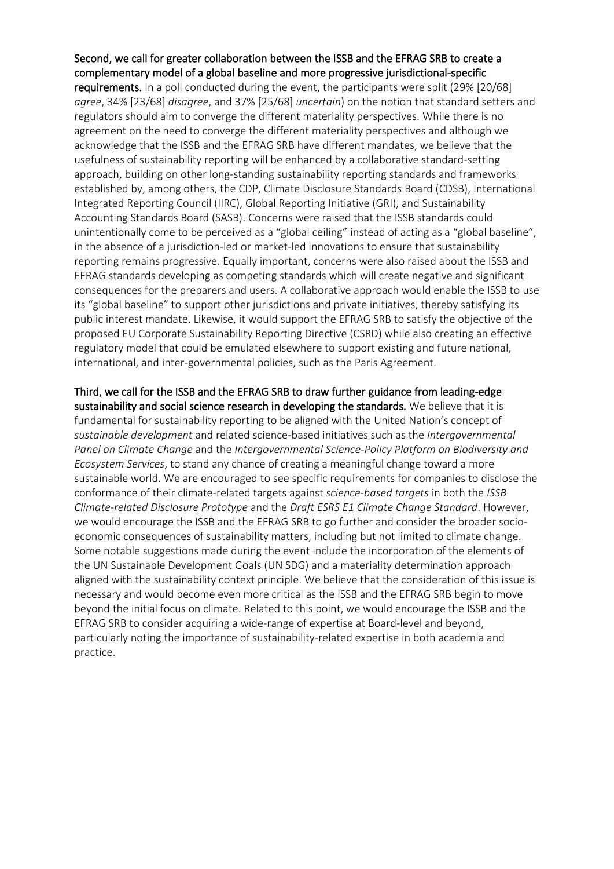## Second, we call for greater collaboration between the ISSB and the EFRAG SRB to create a complementary model of a global baseline and more progressive jurisdictional-specific

requirements. In a poll conducted during the event, the participants were split (29% [20/68] *agree*, 34% [23/68] *disagree*, and 37% [25/68] *uncertain*) on the notion that standard setters and regulators should aim to converge the different materiality perspectives. While there is no agreement on the need to converge the different materiality perspectives and although we acknowledge that the ISSB and the EFRAG SRB have different mandates, we believe that the usefulness of sustainability reporting will be enhanced by a collaborative standard-setting approach, building on other long-standing sustainability reporting standards and frameworks established by, among others, the CDP, Climate Disclosure Standards Board (CDSB), International Integrated Reporting Council (IIRC), Global Reporting Initiative (GRI), and Sustainability Accounting Standards Board (SASB). Concerns were raised that the ISSB standards could unintentionally come to be perceived as a "global ceiling" instead of acting as a "global baseline", in the absence of a jurisdiction-led or market-led innovations to ensure that sustainability reporting remains progressive. Equally important, concerns were also raised about the ISSB and EFRAG standards developing as competing standards which will create negative and significant consequences for the preparers and users. A collaborative approach would enable the ISSB to use its "global baseline" to support other jurisdictions and private initiatives, thereby satisfying its public interest mandate. Likewise, it would support the EFRAG SRB to satisfy the objective of the proposed EU Corporate Sustainability Reporting Directive (CSRD) while also creating an effective regulatory model that could be emulated elsewhere to support existing and future national, international, and inter-governmental policies, such as the Paris Agreement.

Third, we call for the ISSB and the EFRAG SRB to draw further guidance from leading-edge sustainability and social science research in developing the standards. We believe that it is fundamental for sustainability reporting to be aligned with the United Nation's concept of *sustainable development* and related science-based initiatives such as the *Intergovernmental Panel on Climate Change* and the *Intergovernmental Science-Policy Platform on Biodiversity and Ecosystem Services*, to stand any chance of creating a meaningful change toward a more sustainable world. We are encouraged to see specific requirements for companies to disclose the conformance of their climate-related targets against *science-based targets* in both the *ISSB Climate-related Disclosure Prototype* and the *Draft ESRS E1 Climate Change Standard*. However, we would encourage the ISSB and the EFRAG SRB to go further and consider the broader socioeconomic consequences of sustainability matters, including but not limited to climate change. Some notable suggestions made during the event include the incorporation of the elements of the UN Sustainable Development Goals (UN SDG) and a materiality determination approach aligned with the sustainability context principle. We believe that the consideration of this issue is necessary and would become even more critical as the ISSB and the EFRAG SRB begin to move beyond the initial focus on climate. Related to this point, we would encourage the ISSB and the EFRAG SRB to consider acquiring a wide-range of expertise at Board-level and beyond, particularly noting the importance of sustainability-related expertise in both academia and practice.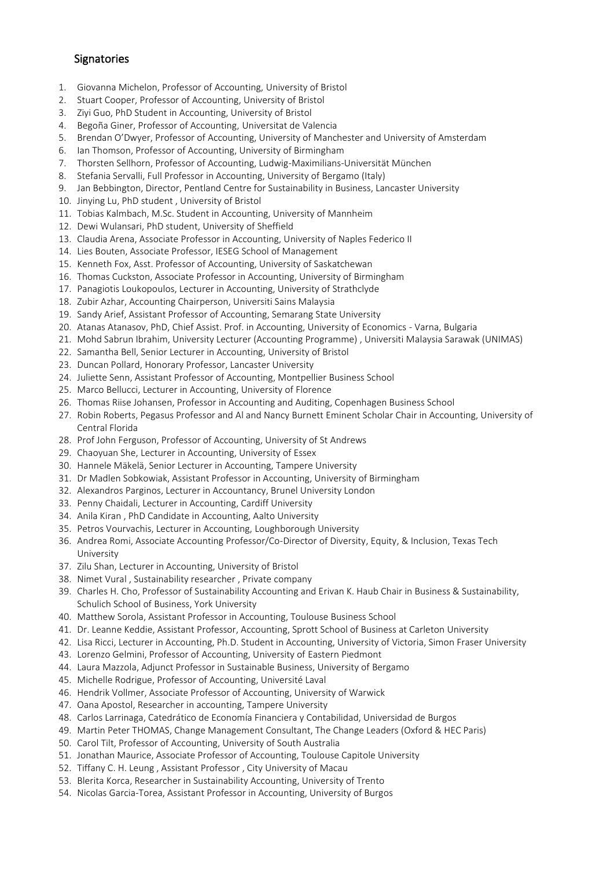## **Signatories**

- 1. Giovanna Michelon, Professor of Accounting, University of Bristol
- 2. Stuart Cooper, Professor of Accounting, University of Bristol
- 3. Ziyi Guo, PhD Student in Accounting, University of Bristol
- 4. Begoña Giner, Professor of Accounting, Universitat de Valencia
- 5. Brendan O'Dwyer, Professor of Accounting, University of Manchester and University of Amsterdam
- 6. Ian Thomson, Professor of Accounting, University of Birmingham
- 7. Thorsten Sellhorn, Professor of Accounting, Ludwig-Maximilians-Universität München
- 8. Stefania Servalli, Full Professor in Accounting, University of Bergamo (Italy)
- 9. Jan Bebbington, Director, Pentland Centre for Sustainability in Business, Lancaster University
- 10. Jinying Lu, PhD student , University of Bristol
- 11. Tobias Kalmbach, M.Sc. Student in Accounting, University of Mannheim
- 12. Dewi Wulansari, PhD student, University of Sheffield
- 13. Claudia Arena, Associate Professor in Accounting, University of Naples Federico II
- 14. Lies Bouten, Associate Professor, IESEG School of Management
- 15. Kenneth Fox, Asst. Professor of Accounting, University of Saskatchewan
- 16. Thomas Cuckston, Associate Professor in Accounting, University of Birmingham
- 17. Panagiotis Loukopoulos, Lecturer in Accounting, University of Strathclyde
- 18. Zubir Azhar, Accounting Chairperson, Universiti Sains Malaysia
- 19. Sandy Arief, Assistant Professor of Accounting, Semarang State University
- 20. Atanas Atanasov, PhD, Chief Assist. Prof. in Accounting, University of Economics Varna, Bulgaria
- 21. Mohd Sabrun Ibrahim, University Lecturer (Accounting Programme) , Universiti Malaysia Sarawak (UNIMAS)
- 22. Samantha Bell, Senior Lecturer in Accounting, University of Bristol
- 23. Duncan Pollard, Honorary Professor, Lancaster University
- 24. Juliette Senn, Assistant Professor of Accounting, Montpellier Business School
- 25. Marco Bellucci, Lecturer in Accounting, University of Florence
- 26. Thomas Riise Johansen, Professor in Accounting and Auditing, Copenhagen Business School
- 27. Robin Roberts, Pegasus Professor and Al and Nancy Burnett Eminent Scholar Chair in Accounting, University of Central Florida
- 28. Prof John Ferguson, Professor of Accounting, University of St Andrews
- 29. Chaoyuan She, Lecturer in Accounting, University of Essex
- 30. Hannele Mäkelä, Senior Lecturer in Accounting, Tampere University
- 31. Dr Madlen Sobkowiak, Assistant Professor in Accounting, University of Birmingham
- 32. Alexandros Parginos, Lecturer in Accountancy, Brunel University London
- 33. Penny Chaidali, Lecturer in Accounting, Cardiff University
- 34. Anila Kiran , PhD Candidate in Accounting, Aalto University
- 35. Petros Vourvachis, Lecturer in Accounting, Loughborough University
- 36. Andrea Romi, Associate Accounting Professor/Co-Director of Diversity, Equity, & Inclusion, Texas Tech University
- 37. Zilu Shan, Lecturer in Accounting, University of Bristol
- 38. Nimet Vural , Sustainability researcher , Private company
- 39. Charles H. Cho, Professor of Sustainability Accounting and Erivan K. Haub Chair in Business & Sustainability, Schulich School of Business, York University
- 40. Matthew Sorola, Assistant Professor in Accounting, Toulouse Business School
- 41. Dr. Leanne Keddie, Assistant Professor, Accounting, Sprott School of Business at Carleton University
- 42. Lisa Ricci, Lecturer in Accounting, Ph.D. Student in Accounting, University of Victoria, Simon Fraser University
- 43. Lorenzo Gelmini, Professor of Accounting, University of Eastern Piedmont
- 44. Laura Mazzola, Adjunct Professor in Sustainable Business, University of Bergamo
- 45. Michelle Rodrigue, Professor of Accounting, Université Laval
- 46. Hendrik Vollmer, Associate Professor of Accounting, University of Warwick
- 47. Oana Apostol, Researcher in accounting, Tampere University
- 48. Carlos Larrinaga, Catedrático de Economía Financiera y Contabilidad, Universidad de Burgos
- 49. Martin Peter THOMAS, Change Management Consultant, The Change Leaders (Oxford & HEC Paris)
- 50. Carol Tilt, Professor of Accounting, University of South Australia
- 51. Jonathan Maurice, Associate Professor of Accounting, Toulouse Capitole University
- 52. Tiffany C. H. Leung , Assistant Professor , City University of Macau
- 53. Blerita Korca, Researcher in Sustainability Accounting, University of Trento
- 54. Nicolas Garcia-Torea, Assistant Professor in Accounting, University of Burgos